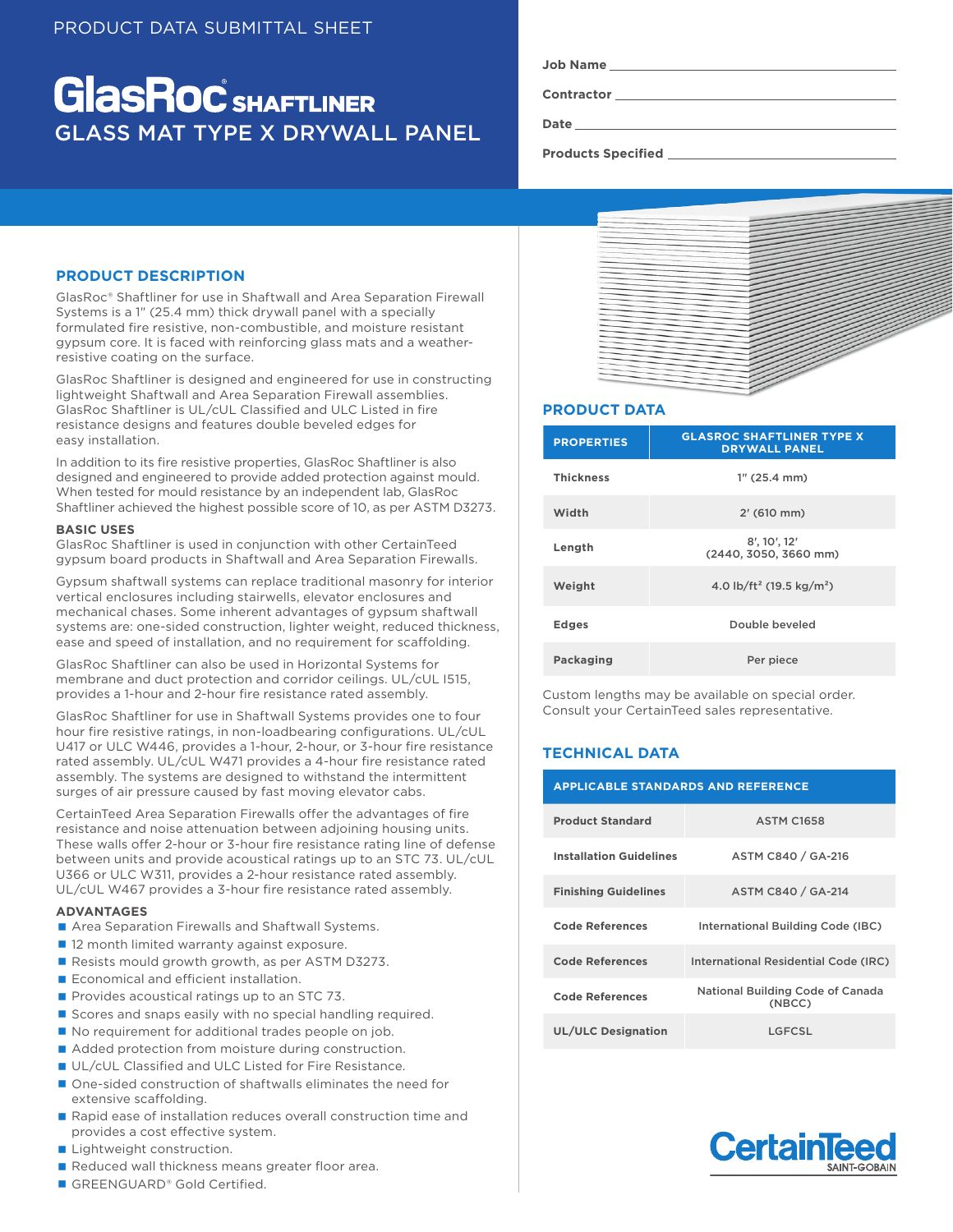# **GlasRoc** SHAFTLINER GLASS MAT TYPE X DRYWALL PANEL

**Contractor**

**Date**

**Products Specified** 

# **PRODUCT DESCRIPTION**

GlasRoc® Shaftliner for use in Shaftwall and Area Separation Firewall Systems is a 1" (25.4 mm) thick drywall panel with a specially formulated fire resistive, non-combustible, and moisture resistant gypsum core. It is faced with reinforcing glass mats and a weatherresistive coating on the surface.

GlasRoc Shaftliner is designed and engineered for use in constructing lightweight Shaftwall and Area Separation Firewall assemblies. GlasRoc Shaftliner is UL/cUL Classified and ULC Listed in fire resistance designs and features double beveled edges for easy installation.

In addition to its fire resistive properties, GlasRoc Shaftliner is also designed and engineered to provide added protection against mould. When tested for mould resistance by an independent lab, GlasRoc Shaftliner achieved the highest possible score of 10, as per ASTM D3273.

## **BASIC USES**

GlasRoc Shaftliner is used in conjunction with other CertainTeed gypsum board products in Shaftwall and Area Separation Firewalls.

Gypsum shaftwall systems can replace traditional masonry for interior vertical enclosures including stairwells, elevator enclosures and mechanical chases. Some inherent advantages of gypsum shaftwall systems are: one-sided construction, lighter weight, reduced thickness, ease and speed of installation, and no requirement for scaffolding.

GlasRoc Shaftliner can also be used in Horizontal Systems for membrane and duct protection and corridor ceilings. UL/cUL I515, provides a 1-hour and 2-hour fire resistance rated assembly.

GlasRoc Shaftliner for use in Shaftwall Systems provides one to four hour fire resistive ratings, in non-loadbearing configurations. UL/cUL U417 or ULC W446, provides a 1-hour, 2-hour, or 3-hour fire resistance rated assembly. UL/cUL W471 provides a 4-hour fire resistance rated assembly. The systems are designed to withstand the intermittent surges of air pressure caused by fast moving elevator cabs.

CertainTeed Area Separation Firewalls offer the advantages of fire resistance and noise attenuation between adjoining housing units. These walls offer 2-hour or 3-hour fire resistance rating line of defense between units and provide acoustical ratings up to an STC 73. UL/cUL U366 or ULC W311, provides a 2-hour resistance rated assembly. UL/cUL W467 provides a 3-hour fire resistance rated assembly.

## **ADVANTAGES**

- Area Separation Firewalls and Shaftwall Systems.
- 12 month limited warranty against exposure.
- Resists mould growth growth, as per ASTM D3273.
- Economical and efficient installation.
- $\blacksquare$  Provides acoustical ratings up to an STC 73.
- Scores and snaps easily with no special handling required.
- No requirement for additional trades people on job.
- Added protection from moisture during construction.
- UL/cUL Classified and ULC Listed for Fire Resistance.
- One-sided construction of shaftwalls eliminates the need for extensive scaffolding.
- Rapid ease of installation reduces overall construction time and provides a cost effective system.
- **Lightweight construction.**
- Reduced wall thickness means greater floor area.
- GREENGUARD® Gold Certified.



## **PRODUCT DATA**

| <b>PROPERTIES</b> | <b>GLASROC SHAFTLINER TYPE X</b><br><b>DRYWALL PANEL</b> |  |
|-------------------|----------------------------------------------------------|--|
| <b>Thickness</b>  | $1''$ (25.4 mm)                                          |  |
| Width             | 2' (610 mm)                                              |  |
| Length            | 8', 10', 12'<br>(2440, 3050, 3660 mm)                    |  |
| Weight            | 4.0 lb/ft <sup>2</sup> (19.5 kg/m <sup>2</sup> )         |  |
| <b>Edges</b>      | Double beveled                                           |  |
| Packaging         | Per piece                                                |  |

Custom lengths may be available on special order. Consult your CertainTeed sales representative.

# **TECHNICAL DATA**

| <b>APPLICABLE STANDARDS AND REFERENCE</b> |                                            |  |  |
|-------------------------------------------|--------------------------------------------|--|--|
| <b>Product Standard</b>                   | <b>ASTM C1658</b>                          |  |  |
| <b>Installation Guidelines</b>            | ASTM C840 / GA-216                         |  |  |
| <b>Finishing Guidelines</b>               | ASTM C840 / GA-214                         |  |  |
| Code References                           | International Building Code (IBC)          |  |  |
| <b>Code References</b>                    | International Residential Code (IRC)       |  |  |
| Code References                           | National Building Code of Canada<br>(NBCC) |  |  |
| <b>UL/ULC Designation</b>                 | LGFCSL                                     |  |  |

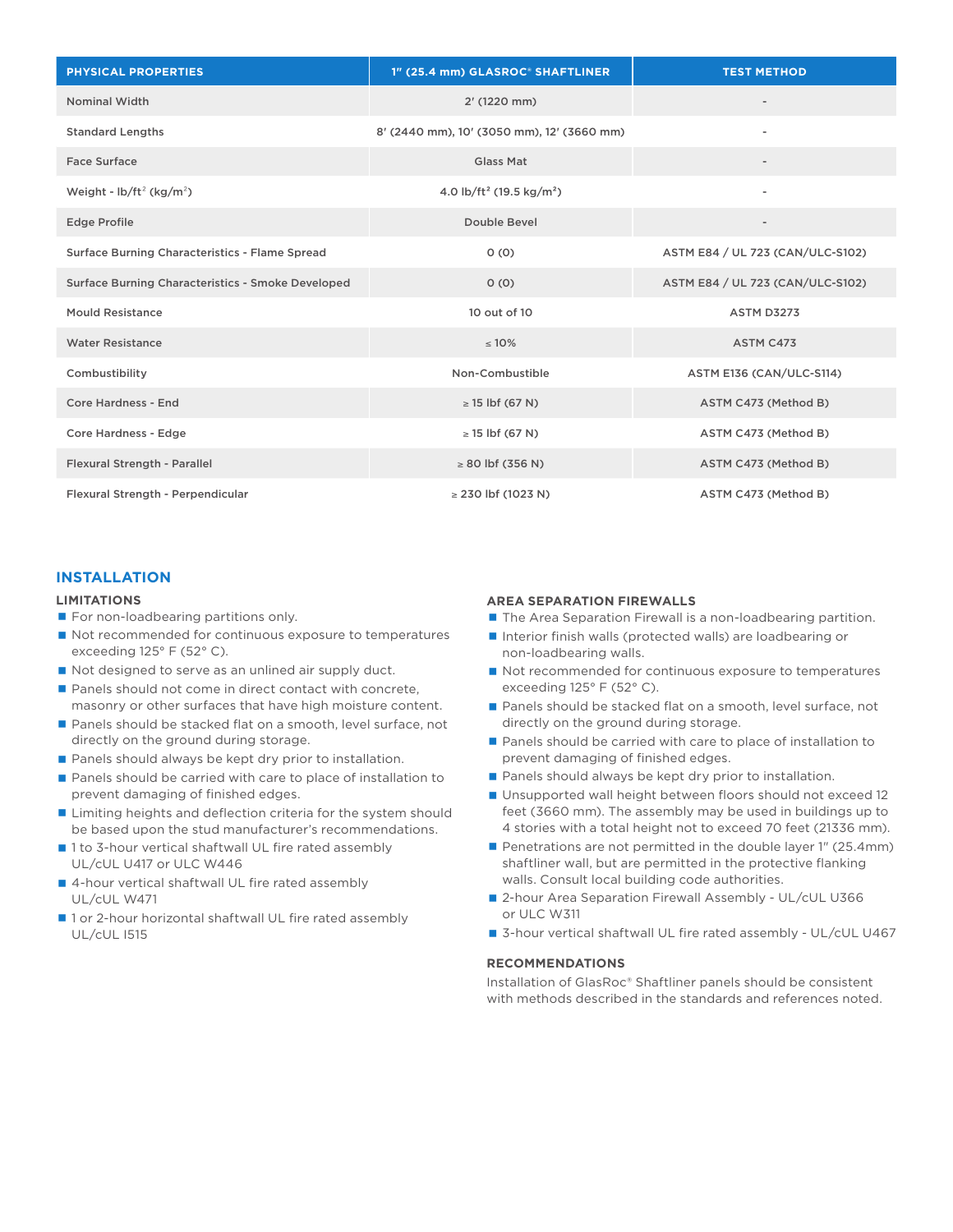| <b>PHYSICAL PROPERTIES</b>                               | 1" (25.4 mm) GLASROC® SHAFTLINER                 | <b>TEST METHOD</b>               |
|----------------------------------------------------------|--------------------------------------------------|----------------------------------|
| <b>Nominal Width</b>                                     | 2' (1220 mm)                                     |                                  |
| <b>Standard Lengths</b>                                  | 8' (2440 mm), 10' (3050 mm), 12' (3660 mm)       | $\blacksquare$                   |
| Face Surface                                             | Glass Mat                                        |                                  |
| Weight - $\frac{1}{2}$ (kg/m <sup>2</sup> )              | 4.0 lb/ft <sup>2</sup> (19.5 kg/m <sup>2</sup> ) | $\overline{\phantom{a}}$         |
| <b>Edge Profile</b>                                      | Double Bevel                                     |                                  |
| <b>Surface Burning Characteristics - Flame Spread</b>    | 0(0)                                             | ASTM E84 / UL 723 (CAN/ULC-S102) |
| <b>Surface Burning Characteristics - Smoke Developed</b> | 0(0)                                             | ASTM E84 / UL 723 (CAN/ULC-S102) |
| Mould Resistance                                         | 10 out of 10                                     | <b>ASTM D3273</b>                |
| <b>Water Resistance</b>                                  | $\leq 10\%$                                      | ASTM C473                        |
| Combustibility                                           | Non-Combustible                                  | ASTM E136 (CAN/ULC-S114)         |
| Core Hardness - End                                      | $\geq$ 15 lbf (67 N)                             | ASTM C473 (Method B)             |
| Core Hardness - Edge                                     | $\geq$ 15 lbf (67 N)                             | ASTM C473 (Method B)             |
| Flexural Strength - Parallel                             | $\geq 80$ lbf (356 N)                            | ASTM C473 (Method B)             |
| Flexural Strength - Perpendicular                        | $\geq$ 230 lbf (1023 N)                          | ASTM C473 (Method B)             |

## **INSTALLATION**

#### **LIMITATIONS**

- For non-loadbearing partitions only.
- Not recommended for continuous exposure to temperatures exceeding 125° F (52° C).
- Not designed to serve as an unlined air supply duct.
- Panels should not come in direct contact with concrete, masonry or other surfaces that have high moisture content.
- Panels should be stacked flat on a smooth, level surface, not directly on the ground during storage.
- Panels should always be kept dry prior to installation.
- Panels should be carried with care to place of installation to prevent damaging of finished edges.
- **Limiting heights and deflection criteria for the system should** be based upon the stud manufacturer's recommendations.
- 1 to 3-hour vertical shaftwall UL fire rated assembly UL/cUL U417 or ULC W446
- 4-hour vertical shaftwall UL fire rated assembly UL/cUL W471
- 1 or 2-hour horizontal shaftwall UL fire rated assembly UL/cUL I515

#### **AREA SEPARATION FIREWALLS**

- The Area Separation Firewall is a non-loadbearing partition.
- Interior finish walls (protected walls) are loadbearing or non-loadbearing walls.
- Not recommended for continuous exposure to temperatures exceeding 125° F (52° C).
- Panels should be stacked flat on a smooth, level surface, not directly on the ground during storage.
- Panels should be carried with care to place of installation to prevent damaging of finished edges.
- Panels should always be kept dry prior to installation.
- Unsupported wall height between floors should not exceed 12 feet (3660 mm). The assembly may be used in buildings up to 4 stories with a total height not to exceed 70 feet (21336 mm).
- Penetrations are not permitted in the double layer 1" (25.4mm) shaftliner wall, but are permitted in the protective flanking walls. Consult local building code authorities.
- 2-hour Area Separation Firewall Assembly UL/cUL U366 or ULC W311
- 3-hour vertical shaftwall UL fire rated assembly UL/cUL U467

## **RECOMMENDATIONS**

Installation of GlasRoc® Shaftliner panels should be consistent with methods described in the standards and references noted.